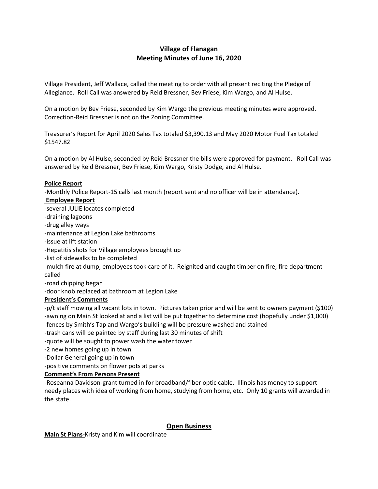# **Village of Flanagan Meeting Minutes of June 16, 2020**

Village President, Jeff Wallace, called the meeting to order with all present reciting the Pledge of Allegiance. Roll Call was answered by Reid Bressner, Bev Friese, Kim Wargo, and Al Hulse.

On a motion by Bev Friese, seconded by Kim Wargo the previous meeting minutes were approved. Correction-Reid Bressner is not on the Zoning Committee.

Treasurer's Report for April 2020 Sales Tax totaled \$3,390.13 and May 2020 Motor Fuel Tax totaled \$1547.82

On a motion by Al Hulse, seconded by Reid Bressner the bills were approved for payment. Roll Call was answered by Reid Bressner, Bev Friese, Kim Wargo, Kristy Dodge, and Al Hulse.

## **Police Report**

-Monthly Police Report-15 calls last month (report sent and no officer will be in attendance).

## **Employee Report**

-several JULIE locates completed -draining lagoons -drug alley ways -maintenance at Legion Lake bathrooms -issue at lift station -Hepatitis shots for Village employees brought up -list of sidewalks to be completed -mulch fire at dump, employees took care of it. Reignited and caught timber on fire; fire department called -road chipping began -door knob replaced at bathroom at Legion Lake

# **President's Comments**

-p/t staff mowing all vacant lots in town. Pictures taken prior and will be sent to owners payment (\$100) -awning on Main St looked at and a list will be put together to determine cost (hopefully under \$1,000) -fences by Smith's Tap and Wargo's building will be pressure washed and stained

- -trash cans will be painted by staff during last 30 minutes of shift
- -quote will be sought to power wash the water tower
- -2 new homes going up in town
- -Dollar General going up in town
- -positive comments on flower pots at parks

# **Comment's From Persons Present**

-Roseanna Davidson-grant turned in for broadband/fiber optic cable. Illinois has money to support needy places with idea of working from home, studying from home, etc. Only 10 grants will awarded in the state.

#### **Open Business**

**Main St Plans-**Kristy and Kim will coordinate